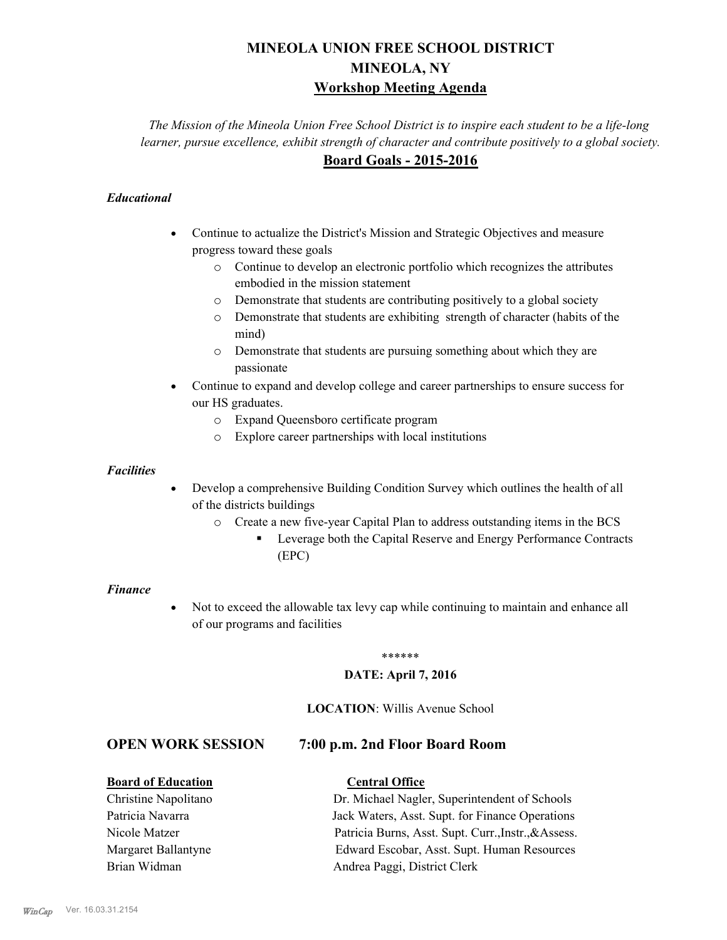# **MINEOLA UNION FREE SCHOOL DISTRICT MINEOLA, NY Workshop Meeting Agenda**

*The Mission of the Mineola Union Free School District is to inspire each student to be a life-long learner, pursue excellence, exhibit strength of character and contribute positively to a global society.* **Board Goals - 2015-2016**

## *Educational*

- · Continue to actualize the District's Mission and Strategic Objectives and measure progress toward these goals
	- o Continue to develop an electronic portfolio which recognizes the attributes embodied in the mission statement
	- o Demonstrate that students are contributing positively to a global society
	- o Demonstrate that students are exhibiting strength of character (habits of the mind)
	- o Demonstrate that students are pursuing something about which they are passionate
- Continue to expand and develop college and career partnerships to ensure success for our HS graduates.
	- o Expand Queensboro certificate program
	- o Explore career partnerships with local institutions

#### *Facilities*

- Develop a comprehensive Building Condition Survey which outlines the health of all of the districts buildings
	- o Create a new five-year Capital Plan to address outstanding items in the BCS
		- § Leverage both the Capital Reserve and Energy Performance Contracts (EPC)

#### *Finance*

• Not to exceed the allowable tax levy cap while continuing to maintain and enhance all of our programs and facilities

#### \*\*\*\*\*\*

### **DATE: April 7, 2016**

## **LOCATION**: Willis Avenue School

## **OPEN WORK SESSION 7:00 p.m. 2nd Floor Board Room**

## **Board of Education Central Office**

Christine Napolitano Dr. Michael Nagler, Superintendent of Schools Patricia Navarra Jack Waters, Asst. Supt. for Finance Operations Nicole Matzer Patricia Burns, Asst. Supt. Curr.,Instr.,&Assess. Margaret Ballantyne Edward Escobar, Asst. Supt. Human Resources Brian Widman **Andrea Paggi, District Clerk**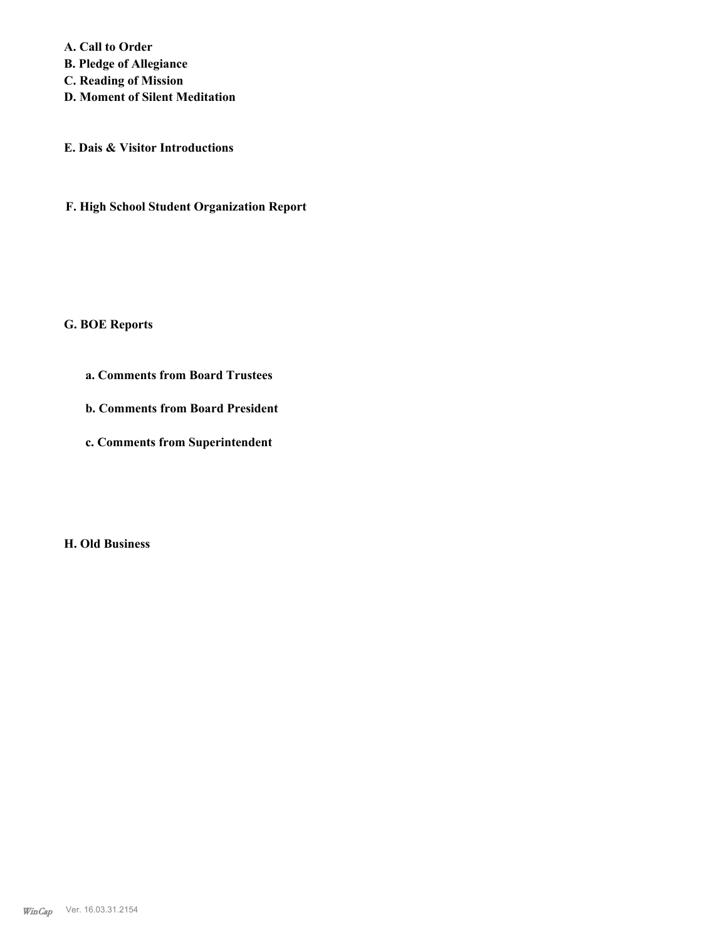**A. Call to Order** 

**B. Pledge of Allegiance**

**C. Reading of Mission**

**D. Moment of Silent Meditation**

**E. Dais & Visitor Introductions**

**F. High School Student Organization Report**

#### **G. BOE Reports**

- **a. Comments from Board Trustees**
- **b. Comments from Board President**
- **c. Comments from Superintendent**

**H. Old Business**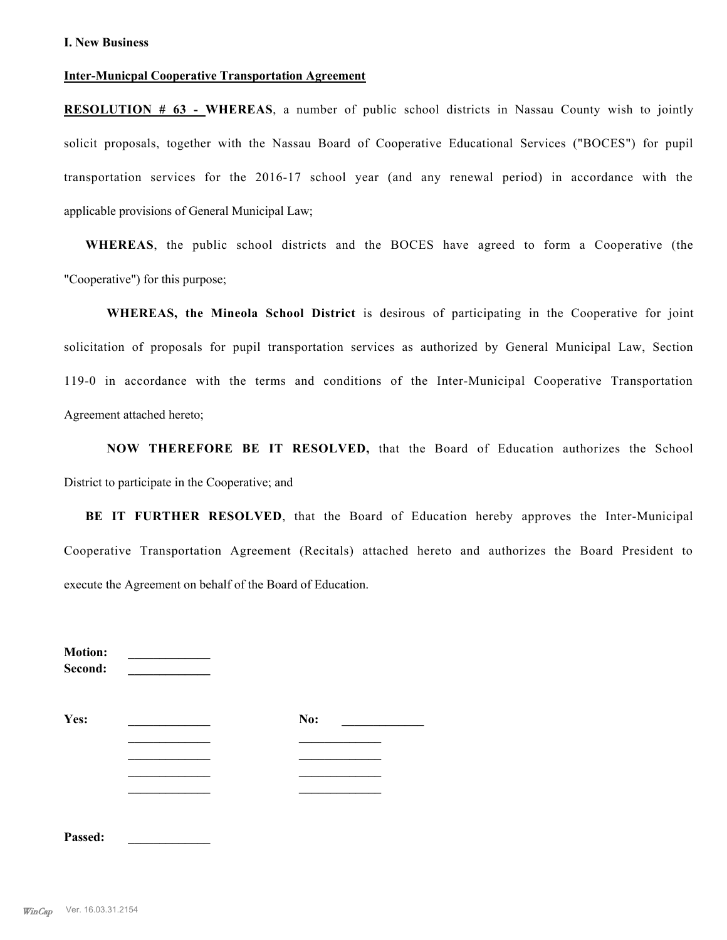#### **Inter-Municpal Cooperative Transportation Agreement**

**RESOLUTION # 63 - WHEREAS**, a number of public school districts in Nassau County wish to jointly solicit proposals, together with the Nassau Board of Cooperative Educational Services ("BOCES") for pupil transportation services for the 2016-17 school year (and any renewal period) in accordance with the applicable provisions of General Municipal Law;

**WHEREAS**, the public school districts and the BOCES have agreed to form a Cooperative (the "Cooperative") for this purpose;

**WHEREAS, the Mineola School District** is desirous of participating in the Cooperative for joint solicitation of proposals for pupil transportation services as authorized by General Municipal Law, Section 119-0 in accordance with the terms and conditions of the Inter-Municipal Cooperative Transportation Agreement attached hereto;

**NOW THEREFORE BE IT RESOLVED,** that the Board of Education authorizes the School District to participate in the Cooperative; and

**BE IT FURTHER RESOLVED**, that the Board of Education hereby approves the Inter-Municipal Cooperative Transportation Agreement (Recitals) attached hereto and authorizes the Board President to execute the Agreement on behalf of the Board of Education.

| <b>Motion:</b><br>Second: |  |     |  |
|---------------------------|--|-----|--|
| Yes:                      |  | No: |  |
|                           |  |     |  |
|                           |  |     |  |
| Passed:                   |  |     |  |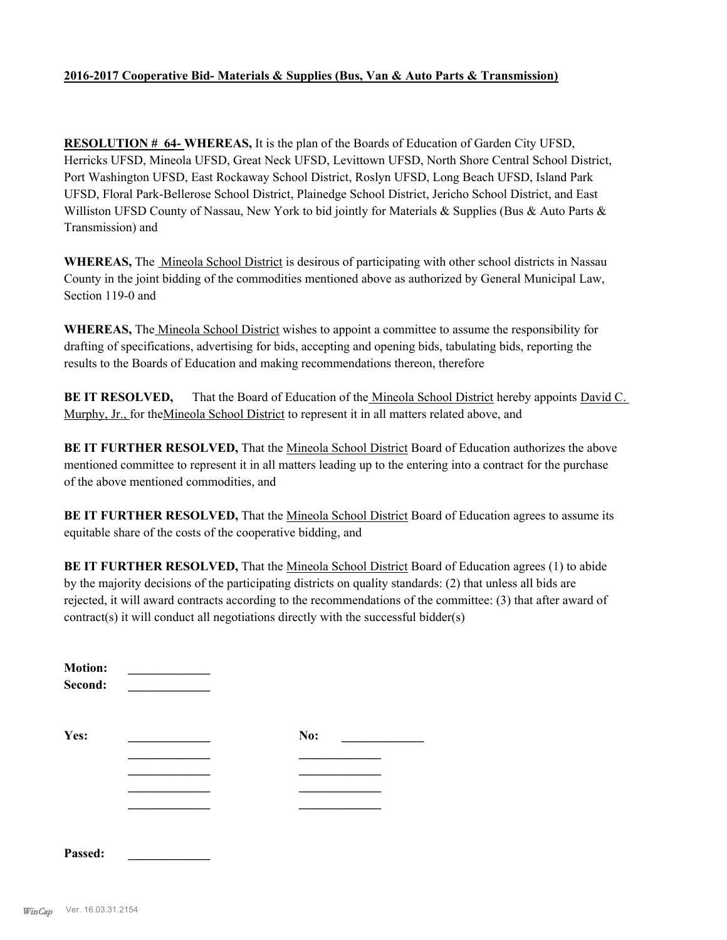### **2016-2017 Cooperative Bid- Materials & Supplies (Bus, Van & Auto Parts & Transmission)**

**RESOLUTION # 64- WHEREAS,** It is the plan of the Boards of Education of Garden City UFSD, Herricks UFSD, Mineola UFSD, Great Neck UFSD, Levittown UFSD, North Shore Central School District, Port Washington UFSD, East Rockaway School District, Roslyn UFSD, Long Beach UFSD, Island Park UFSD, Floral Park-Bellerose School District, Plainedge School District, Jericho School District, and East Williston UFSD County of Nassau, New York to bid jointly for Materials & Supplies (Bus & Auto Parts & Transmission) and

**WHEREAS,** The Mineola School District is desirous of participating with other school districts in Nassau County in the joint bidding of the commodities mentioned above as authorized by General Municipal Law, Section 119-0 and

**WHEREAS,** The Mineola School District wishes to appoint a committee to assume the responsibility for drafting of specifications, advertising for bids, accepting and opening bids, tabulating bids, reporting the results to the Boards of Education and making recommendations thereon, therefore

**BE IT RESOLVED,** That the Board of Education of the Mineola School District hereby appoints David C. Murphy, Jr., for theMineola School District to represent it in all matters related above, and

**BE IT FURTHER RESOLVED,** That the Mineola School District Board of Education authorizes the above mentioned committee to represent it in all matters leading up to the entering into a contract for the purchase of the above mentioned commodities, and

BE IT FURTHER RESOLVED, That the Mineola School District Board of Education agrees to assume its equitable share of the costs of the cooperative bidding, and

**BE IT FURTHER RESOLVED,** That the Mineola School District Board of Education agrees (1) to abide by the majority decisions of the participating districts on quality standards: (2) that unless all bids are rejected, it will award contracts according to the recommendations of the committee: (3) that after award of contract(s) it will conduct all negotiations directly with the successful bidder(s)

| <b>Motion:</b><br>Second: |     |  |
|---------------------------|-----|--|
| Yes:                      | No: |  |
|                           |     |  |
|                           |     |  |
|                           |     |  |
| Passed:                   |     |  |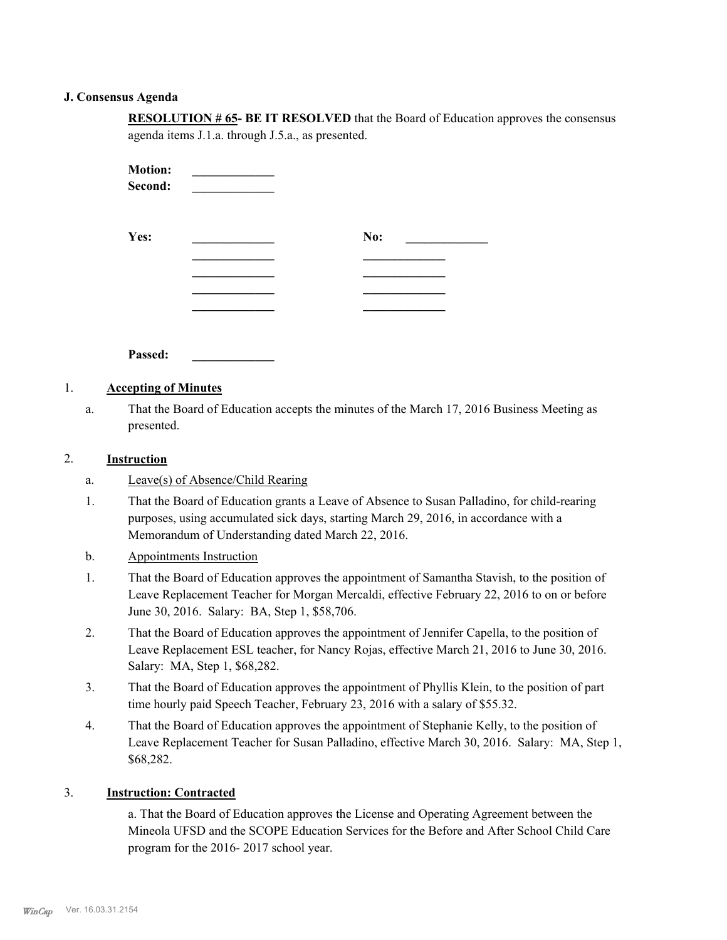#### **J. Consensus Agenda**

**RESOLUTION # 65- BE IT RESOLVED** that the Board of Education approves the consensus agenda items J.1.a. through J.5.a., as presented.

| <b>Motion:</b><br>Second: |     |  |
|---------------------------|-----|--|
| Yes:                      | No: |  |
|                           |     |  |
|                           |     |  |
|                           |     |  |
|                           |     |  |

**Passed: \_\_\_\_\_\_\_\_\_\_\_\_\_**

## 1. **Accepting of Minutes**

That the Board of Education accepts the minutes of the March 17, 2016 Business Meeting as presented. a.

#### 2. **Instruction**

- a. Leave(s) of Absence/Child Rearing
- That the Board of Education grants a Leave of Absence to Susan Palladino, for child-rearing purposes, using accumulated sick days, starting March 29, 2016, in accordance with a Memorandum of Understanding dated March 22, 2016. 1.
- b. Appointments Instruction
- That the Board of Education approves the appointment of Samantha Stavish, to the position of Leave Replacement Teacher for Morgan Mercaldi, effective February 22, 2016 to on or before June 30, 2016. Salary: BA, Step 1, \$58,706. 1.
- That the Board of Education approves the appointment of Jennifer Capella, to the position of Leave Replacement ESL teacher, for Nancy Rojas, effective March 21, 2016 to June 30, 2016. Salary: MA, Step 1, \$68,282. 2.
- That the Board of Education approves the appointment of Phyllis Klein, to the position of part time hourly paid Speech Teacher, February 23, 2016 with a salary of \$55.32. 3.
- That the Board of Education approves the appointment of Stephanie Kelly, to the position of Leave Replacement Teacher for Susan Palladino, effective March 30, 2016. Salary: MA, Step 1, \$68,282. 4.

## 3. **Instruction: Contracted**

a. That the Board of Education approves the License and Operating Agreement between the Mineola UFSD and the SCOPE Education Services for the Before and After School Child Care program for the 2016- 2017 school year.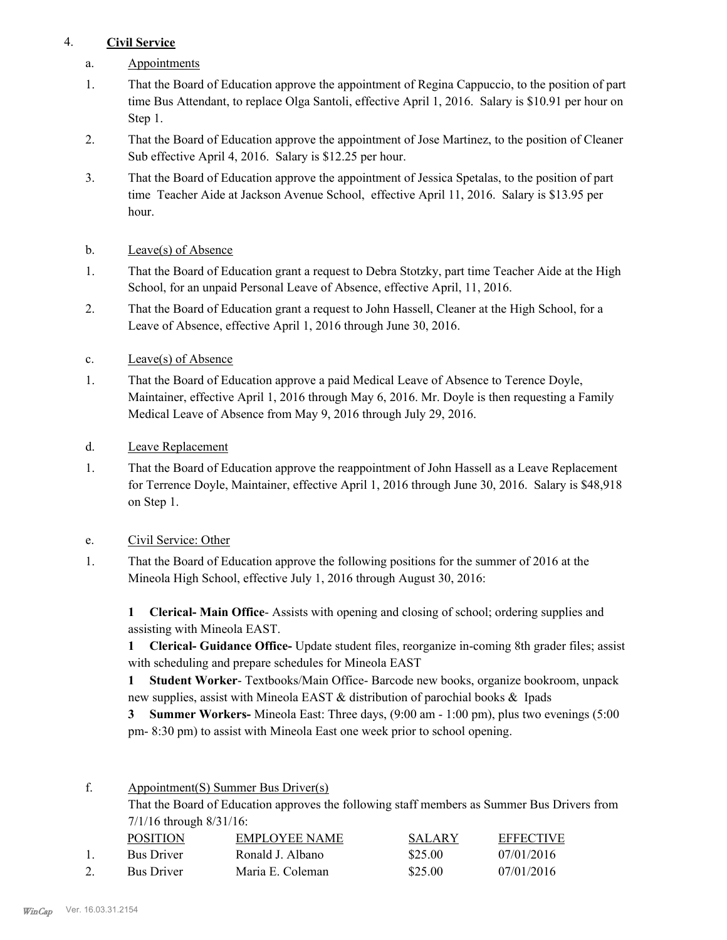## 4. **Civil Service**

- a. Appointments
- That the Board of Education approve the appointment of Regina Cappuccio, to the position of part time Bus Attendant, to replace Olga Santoli, effective April 1, 2016. Salary is \$10.91 per hour on Step 1. 1.
- That the Board of Education approve the appointment of Jose Martinez, to the position of Cleaner Sub effective April 4, 2016. Salary is \$12.25 per hour. 2.
- That the Board of Education approve the appointment of Jessica Spetalas, to the position of part time Teacher Aide at Jackson Avenue School, effective April 11, 2016. Salary is \$13.95 per hour. 3.
- b. Leave(s) of Absence
- That the Board of Education grant a request to Debra Stotzky, part time Teacher Aide at the High School, for an unpaid Personal Leave of Absence, effective April, 11, 2016. 1.
- That the Board of Education grant a request to John Hassell, Cleaner at the High School, for a Leave of Absence, effective April 1, 2016 through June 30, 2016. 2.
- c. Leave(s) of Absence
- That the Board of Education approve a paid Medical Leave of Absence to Terence Doyle, Maintainer, effective April 1, 2016 through May 6, 2016. Mr. Doyle is then requesting a Family Medical Leave of Absence from May 9, 2016 through July 29, 2016. 1.
- d. Leave Replacement
- That the Board of Education approve the reappointment of John Hassell as a Leave Replacement for Terrence Doyle, Maintainer, effective April 1, 2016 through June 30, 2016. Salary is \$48,918 on Step 1. 1.
- e. Civil Service: Other
- That the Board of Education approve the following positions for the summer of 2016 at the Mineola High School, effective July 1, 2016 through August 30, 2016: 1.

**1 Clerical- Main Office**- Assists with opening and closing of school; ordering supplies and assisting with Mineola EAST.

**1 Clerical- Guidance Office-** Update student files, reorganize in-coming 8th grader files; assist with scheduling and prepare schedules for Mineola EAST

**1 Student Worker**- Textbooks/Main Office- Barcode new books, organize bookroom, unpack new supplies, assist with Mineola EAST & distribution of parochial books & Ipads

**3 Summer Workers-** Mineola East: Three days, (9:00 am - 1:00 pm), plus two evenings (5:00 pm- 8:30 pm) to assist with Mineola East one week prior to school opening.

Appointment(S) Summer Bus Driver(s) f.

> That the Board of Education approves the following staff members as Summer Bus Drivers from 7/1/16 through 8/31/16:

| <b>POSITION</b>   | EMPLOYEE NAME    | <b>SALARY</b> | <b>EFFECTIVE</b> |
|-------------------|------------------|---------------|------------------|
| <b>Bus Driver</b> | Ronald J. Albano | \$25.00       | 07/01/2016       |
| <b>Bus Driver</b> | Maria E. Coleman | \$25.00       | 07/01/2016       |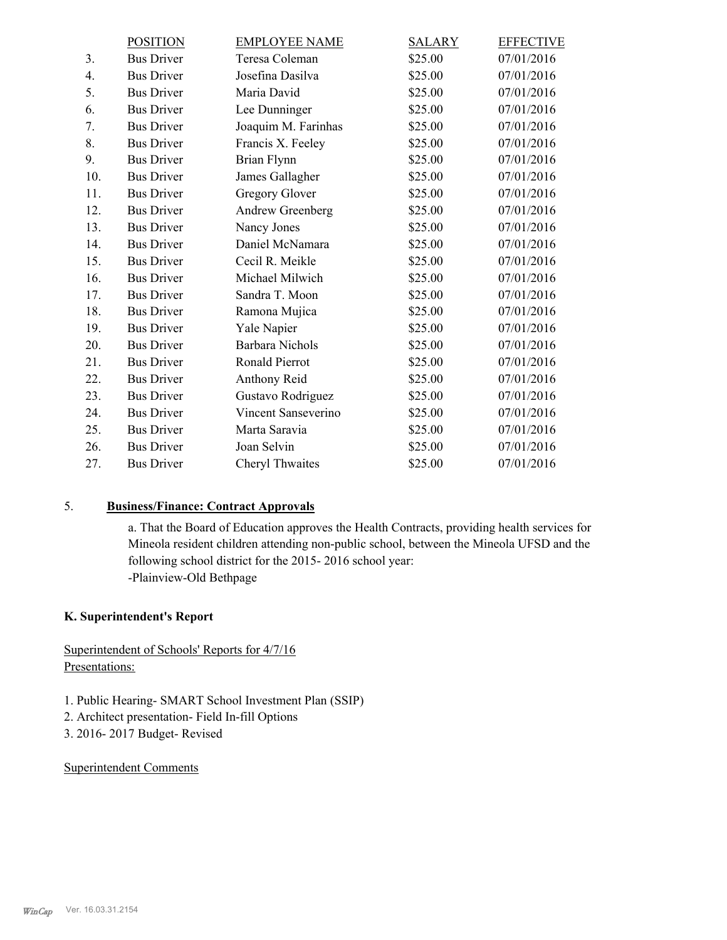|                | <b>POSITION</b>   | <b>EMPLOYEE NAME</b>   | <b>SALARY</b> | <b>EFFECTIVE</b> |
|----------------|-------------------|------------------------|---------------|------------------|
| 3 <sub>1</sub> | <b>Bus Driver</b> | Teresa Coleman         | \$25.00       | 07/01/2016       |
| 4.             | <b>Bus Driver</b> | Josefina Dasilva       | \$25.00       | 07/01/2016       |
| 5.             | <b>Bus Driver</b> | Maria David            | \$25.00       | 07/01/2016       |
| 6.             | <b>Bus Driver</b> | Lee Dunninger          | \$25.00       | 07/01/2016       |
| 7.             | <b>Bus Driver</b> | Joaquim M. Farinhas    | \$25.00       | 07/01/2016       |
| 8.             | <b>Bus Driver</b> | Francis X. Feeley      | \$25.00       | 07/01/2016       |
| 9.             | <b>Bus Driver</b> | Brian Flynn            | \$25.00       | 07/01/2016       |
| 10.            | <b>Bus Driver</b> | James Gallagher        | \$25.00       | 07/01/2016       |
| 11.            | <b>Bus Driver</b> | <b>Gregory Glover</b>  | \$25.00       | 07/01/2016       |
| 12.            | <b>Bus Driver</b> | Andrew Greenberg       | \$25.00       | 07/01/2016       |
| 13.            | <b>Bus Driver</b> | Nancy Jones            | \$25.00       | 07/01/2016       |
| 14.            | <b>Bus Driver</b> | Daniel McNamara        | \$25.00       | 07/01/2016       |
| 15.            | <b>Bus Driver</b> | Cecil R. Meikle        | \$25.00       | 07/01/2016       |
| 16.            | <b>Bus Driver</b> | Michael Milwich        | \$25.00       | 07/01/2016       |
| 17.            | <b>Bus Driver</b> | Sandra T. Moon         | \$25.00       | 07/01/2016       |
| 18.            | <b>Bus Driver</b> | Ramona Mujica          | \$25.00       | 07/01/2016       |
| 19.            | <b>Bus Driver</b> | Yale Napier            | \$25.00       | 07/01/2016       |
| 20.            | <b>Bus Driver</b> | <b>Barbara Nichols</b> | \$25.00       | 07/01/2016       |
| 21.            | <b>Bus Driver</b> | Ronald Pierrot         | \$25.00       | 07/01/2016       |
| 22.            | <b>Bus Driver</b> | Anthony Reid           | \$25.00       | 07/01/2016       |
| 23.            | <b>Bus Driver</b> | Gustavo Rodriguez      | \$25.00       | 07/01/2016       |
| 24.            | <b>Bus Driver</b> | Vincent Sanseverino    | \$25.00       | 07/01/2016       |
| 25.            | <b>Bus Driver</b> | Marta Saravia          | \$25.00       | 07/01/2016       |
| 26.            | <b>Bus Driver</b> | Joan Selvin            | \$25.00       | 07/01/2016       |
| 27.            | <b>Bus Driver</b> | Cheryl Thwaites        | \$25.00       | 07/01/2016       |
|                |                   |                        |               |                  |

# 5. **Business/Finance: Contract Approvals**

a. That the Board of Education approves the Health Contracts, providing health services for Mineola resident children attending non-public school, between the Mineola UFSD and the following school district for the 2015- 2016 school year: -Plainview-Old Bethpage

### **K. Superintendent's Report**

## Superintendent of Schools' Reports for 4/7/16 Presentations:

- 1. Public Hearing- SMART School Investment Plan (SSIP)
- 2. Architect presentation- Field In-fill Options
- 3. 2016- 2017 Budget- Revised

### Superintendent Comments